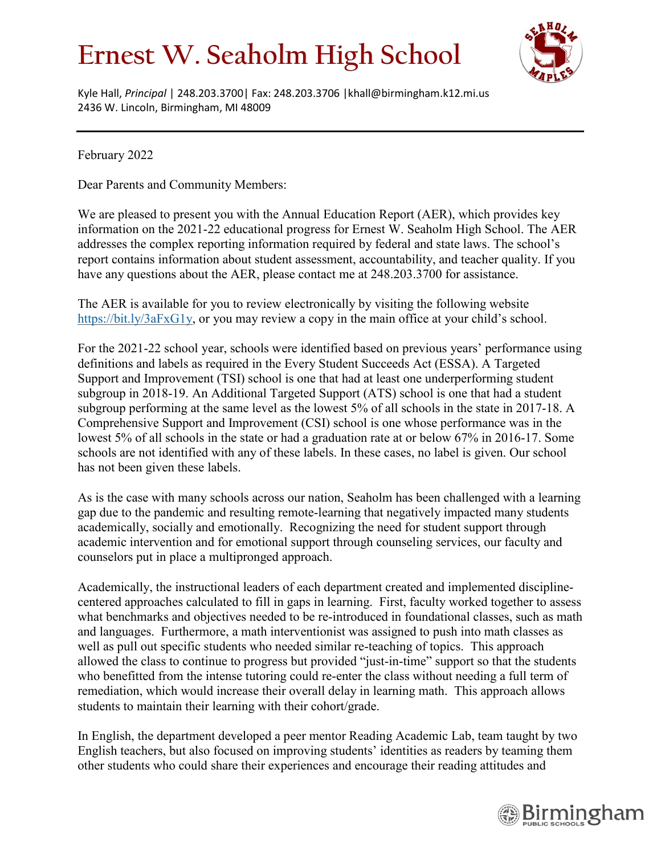## **Ernest W. Seaholm High School**



Kyle Hall, *Principal* | 248.203.3700| Fax: 248.203.3706 |khall@birmingham.k12.mi.us 2436 W. Lincoln, Birmingham, MI 48009

February 2022

Dear Parents and Community Members:

We are pleased to present you with the Annual Education Report (AER), which provides key information on the 2021-22 educational progress for Ernest W. Seaholm High School. The AER addresses the complex reporting information required by federal and state laws. The school's report contains information about student assessment, accountability, and teacher quality. If you have any questions about the AER, please contact me at 248.203.3700 for assistance.

The AER is available for you to review electronically by visiting the following website [https://bit.ly/3aFxG1y,](https://bit.ly/3aFxG1y) or you may review a copy in the main office at your child's school.

For the 2021-22 school year, schools were identified based on previous years' performance using definitions and labels as required in the Every Student Succeeds Act (ESSA). A Targeted Support and Improvement (TSI) school is one that had at least one underperforming student subgroup in 2018-19. An Additional Targeted Support (ATS) school is one that had a student subgroup performing at the same level as the lowest 5% of all schools in the state in 2017-18. A Comprehensive Support and Improvement (CSI) school is one whose performance was in the lowest 5% of all schools in the state or had a graduation rate at or below 67% in 2016-17. Some schools are not identified with any of these labels. In these cases, no label is given. Our school has not been given these labels.

As is the case with many schools across our nation, Seaholm has been challenged with a learning gap due to the pandemic and resulting remote-learning that negatively impacted many students academically, socially and emotionally. Recognizing the need for student support through academic intervention and for emotional support through counseling services, our faculty and counselors put in place a multipronged approach.

Academically, the instructional leaders of each department created and implemented disciplinecentered approaches calculated to fill in gaps in learning. First, faculty worked together to assess what benchmarks and objectives needed to be re-introduced in foundational classes, such as math and languages. Furthermore, a math interventionist was assigned to push into math classes as well as pull out specific students who needed similar re-teaching of topics. This approach allowed the class to continue to progress but provided "just-in-time" support so that the students who benefitted from the intense tutoring could re-enter the class without needing a full term of remediation, which would increase their overall delay in learning math. This approach allows students to maintain their learning with their cohort/grade.

In English, the department developed a peer mentor Reading Academic Lab, team taught by two English teachers, but also focused on improving students' identities as readers by teaming them other students who could share their experiences and encourage their reading attitudes and

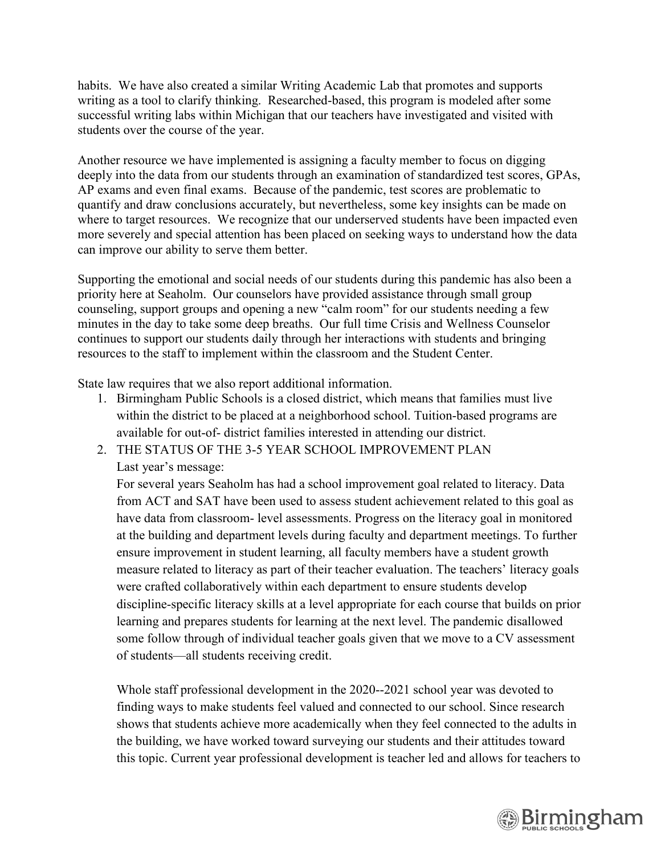habits. We have also created a similar Writing Academic Lab that promotes and supports writing as a tool to clarify thinking. Researched-based, this program is modeled after some successful writing labs within Michigan that our teachers have investigated and visited with students over the course of the year.

Another resource we have implemented is assigning a faculty member to focus on digging deeply into the data from our students through an examination of standardized test scores, GPAs, AP exams and even final exams. Because of the pandemic, test scores are problematic to quantify and draw conclusions accurately, but nevertheless, some key insights can be made on where to target resources. We recognize that our underserved students have been impacted even more severely and special attention has been placed on seeking ways to understand how the data can improve our ability to serve them better.

Supporting the emotional and social needs of our students during this pandemic has also been a priority here at Seaholm. Our counselors have provided assistance through small group counseling, support groups and opening a new "calm room" for our students needing a few minutes in the day to take some deep breaths. Our full time Crisis and Wellness Counselor continues to support our students daily through her interactions with students and bringing resources to the staff to implement within the classroom and the Student Center.

State law requires that we also report additional information.

- 1. Birmingham Public Schools is a closed district, which means that families must live within the district to be placed at a neighborhood school. Tuition-based programs are available for out-of- district families interested in attending our district.
- 2. THE STATUS OF THE 3-5 YEAR SCHOOL IMPROVEMENT PLAN Last year's message:

For several years Seaholm has had a school improvement goal related to literacy. Data from ACT and SAT have been used to assess student achievement related to this goal as have data from classroom- level assessments. Progress on the literacy goal in monitored at the building and department levels during faculty and department meetings. To further ensure improvement in student learning, all faculty members have a student growth measure related to literacy as part of their teacher evaluation. The teachers' literacy goals were crafted collaboratively within each department to ensure students develop discipline-specific literacy skills at a level appropriate for each course that builds on prior learning and prepares students for learning at the next level. The pandemic disallowed some follow through of individual teacher goals given that we move to a CV assessment of students—all students receiving credit.

Whole staff professional development in the 2020--2021 school year was devoted to finding ways to make students feel valued and connected to our school. Since research shows that students achieve more academically when they feel connected to the adults in the building, we have worked toward surveying our students and their attitudes toward this topic. Current year professional development is teacher led and allows for teachers to

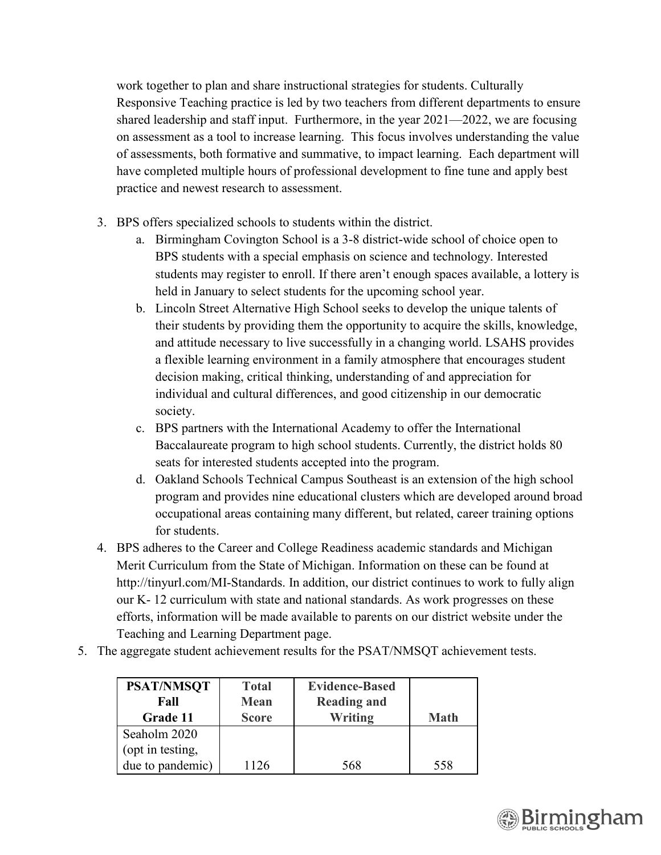work together to plan and share instructional strategies for students. Culturally Responsive Teaching practice is led by two teachers from different departments to ensure shared leadership and staff input. Furthermore, in the year 2021—2022, we are focusing on assessment as a tool to increase learning. This focus involves understanding the value of assessments, both formative and summative, to impact learning. Each department will have completed multiple hours of professional development to fine tune and apply best practice and newest research to assessment.

- 3. BPS offers specialized schools to students within the district.
	- a. Birmingham Covington School is a 3-8 district-wide school of choice open to BPS students with a special emphasis on science and technology. Interested students may register to enroll. If there aren't enough spaces available, a lottery is held in January to select students for the upcoming school year.
	- b. Lincoln Street Alternative High School seeks to develop the unique talents of their students by providing them the opportunity to acquire the skills, knowledge, and attitude necessary to live successfully in a changing world. LSAHS provides a flexible learning environment in a family atmosphere that encourages student decision making, critical thinking, understanding of and appreciation for individual and cultural differences, and good citizenship in our democratic society.
	- c. BPS partners with the International Academy to offer the International Baccalaureate program to high school students. Currently, the district holds 80 seats for interested students accepted into the program.
	- d. Oakland Schools Technical Campus Southeast is an extension of the high school program and provides nine educational clusters which are developed around broad occupational areas containing many different, but related, career training options for students.
- 4. BPS adheres to the Career and College Readiness academic standards and Michigan Merit Curriculum from the State of Michigan. Information on these can be found at http://tinyurl.com/MI-Standards. In addition, our district continues to work to fully align our K- 12 curriculum with state and national standards. As work progresses on these efforts, information will be made available to parents on our district website under the Teaching and Learning Department page.
- 5. The aggregate student achievement results for the PSAT/NMSQT achievement tests.

| <b>PSAT/NMSQT</b> | <b>Total</b> | <b>Evidence-Based</b> |             |
|-------------------|--------------|-----------------------|-------------|
| Fall              | <b>Mean</b>  | <b>Reading and</b>    |             |
| Grade 11          | <b>Score</b> | Writing               | <b>Math</b> |
| Seaholm 2020      |              |                       |             |
| (opt in testing,  |              |                       |             |
| due to pandemic)  | 1126         | 568                   | 558         |

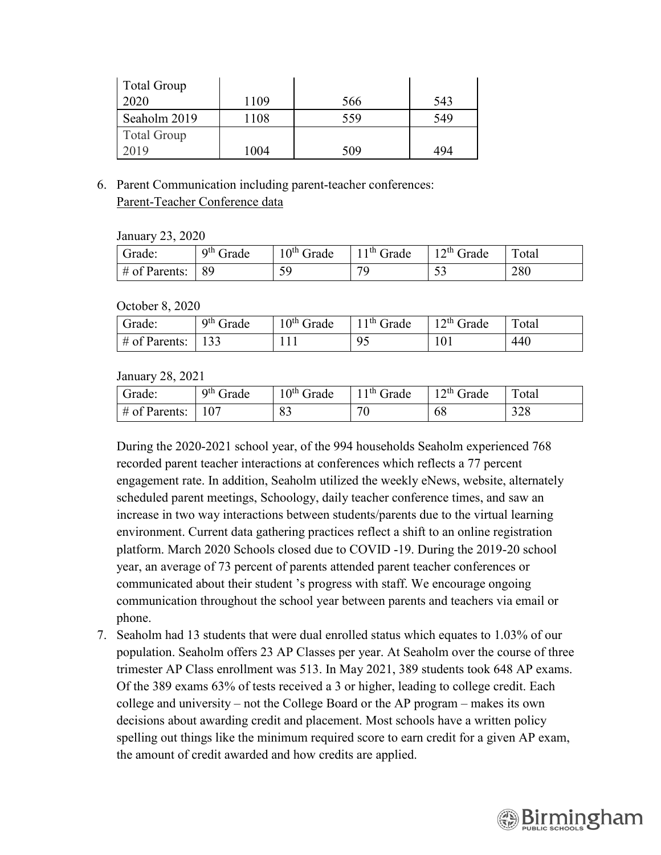| <b>Total Group</b> |      |     |     |
|--------------------|------|-----|-----|
| 2020               | 1109 | 566 | 543 |
| Seaholm 2019       | 1108 | 559 | 549 |
| <b>Total Group</b> |      |     |     |
| 2019               | 1004 | 509 | 494 |

6. Parent Communication including parent-teacher conferences: Parent-Teacher Conference data

January 23, 2020

| Grade:           | 9 <sup>th</sup> Grade | $10th$ Grade | l 1 <sup>th</sup> Grade | $12^{th}$ Grade | Total |
|------------------|-----------------------|--------------|-------------------------|-----------------|-------|
| $\#$ of Parents: | 89                    | 59<br>ر ب    | 7С                      | ັ               | 280   |

October 8, 2020

| Grade:          | $9th$ Grade | $10th$ Grade | $11th$ Grade | $12th$ Grade | $\tau_{\text{otal}}$ |
|-----------------|-------------|--------------|--------------|--------------|----------------------|
| $#$ of Parents: | 133<br>. ບປ |              | $\Omega'$    | 101          | 440                  |

January 28, 2021

| Grade:           | $9th$ Grade  | $\cdot$ o <sup>th</sup> Grade | <sup>11th</sup> Grade | $12^{th}$ Grade | $\mathbf{\mathbf{\mathsf{\mathbf{\mathsf{m}}}}}$<br><sup>r</sup> otar |
|------------------|--------------|-------------------------------|-----------------------|-----------------|-----------------------------------------------------------------------|
| $\#$ of Parents: | $10^{\circ}$ | 83                            |                       | 68              | າາດ<br>24 O                                                           |

During the 2020-2021 school year, of the 994 households Seaholm experienced 768 recorded parent teacher interactions at conferences which reflects a 77 percent engagement rate. In addition, Seaholm utilized the weekly eNews, website, alternately scheduled parent meetings, Schoology, daily teacher conference times, and saw an increase in two way interactions between students/parents due to the virtual learning environment. Current data gathering practices reflect a shift to an online registration platform. March 2020 Schools closed due to COVID -19. During the 2019-20 school year, an average of 73 percent of parents attended parent teacher conferences or communicated about their student 's progress with staff. We encourage ongoing communication throughout the school year between parents and teachers via email or phone.

7. Seaholm had 13 students that were dual enrolled status which equates to 1.03% of our population. Seaholm offers 23 AP Classes per year. At Seaholm over the course of three trimester AP Class enrollment was 513. In May 2021, 389 students took 648 AP exams. Of the 389 exams 63% of tests received a 3 or higher, leading to college credit. Each college and university – not the College Board or the AP program – makes its own decisions about awarding credit and placement. Most schools have a written policy spelling out things like the minimum required score to earn credit for a given AP exam, the amount of credit awarded and how credits are applied.